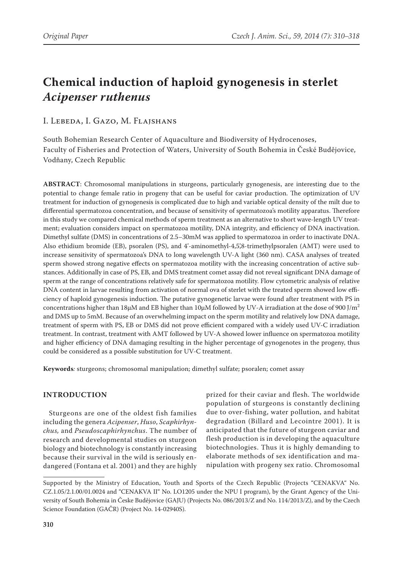# **Chemical induction of haploid gynogenesis in sterlet**  *Acipenser ruthenus*

## I. Lebeda, I. Gazo, M. Flajshans

South Bohemian Research Center of Aquaculture and Biodiversity of Hydrocenoses, Faculty of Fisheries and Protection of Waters, University of South Bohemia in České Budějovice, Vodňany, Czech Republic

**ABSTRACT**: Chromosomal manipulations in sturgeons, particularly gynogenesis, are interesting due to the potential to change female ratio in progeny that can be useful for caviar production. The optimization of UV treatment for induction of gynogenesis is complicated due to high and variable optical density of the milt due to differential spermatozoa concentration, and because of sensitivity of spermatozoa's motility apparatus. Therefore in this study we compared chemical methods of sperm treatment as an alternative to short wave-length UV treatment; evaluation considers impact on spermatozoa motility, DNA integrity, and efficiency of DNA inactivation. Dimethyl sulfate (DMS) in concentrations of 2.5–30mM was applied to spermatozoa in order to inactivate DNA. Also ethidium bromide (EB), psoralen (PS), and 4'-aminomethyl-4,5',8-trimethylpsoralen (AMT) were used to increase sensitivity of spermatozoa's DNA to long wavelength UV-A light (360 nm). CASA analyses of treated sperm showed strong negative effects on spermatozoa motility with the increasing concentration of active substances. Additionally in case of PS, EB, and DMS treatment comet assay did not reveal significant DNA damage of sperm at the range of concentrations relatively safe for spermatozoa motility. Flow cytometric analysis of relative DNA content in larvae resulting from activation of normal ova of sterlet with the treated sperm showed low efficiency of haploid gynogenesis induction. The putative gynogenetic larvae were found after treatment with PS in concentrations higher than 18 $\mu$ M and EB higher than 10 $\mu$ M followed by UV-A irradiation at the dose of 900 J/m<sup>2</sup> and DMS up to 5mM. Because of an overwhelming impact on the sperm motility and relatively low DNA damage, treatment of sperm with PS, EB or DMS did not prove efficient compared with a widely used UV-C irradiation treatment. In contrast, treatment with AMT followed by UV-A showed lower influence on spermatozoa motility and higher efficiency of DNA damaging resulting in the higher percentage of gynogenotes in the progeny, thus could be considered as a possible substitution for UV-C treatment.

**Keywords***:* sturgeons; chromosomal manipulation; dimethyl sulfate; psoralen; comet assay

## **INTRODUCTION**

Sturgeons are one of the oldest fish families including the genera *Acipenser*, *Huso*, *Scaphirhynchus,* and *Pseudoscaphirhynchus*. The number of research and developmental studies on sturgeon biology and biotechnology is constantly increasing because their survival in the wild is seriously endangered (Fontana et al. 2001) and they are highly

prized for their caviar and flesh. The worldwide population of sturgeons is constantly declining due to over-fishing, water pollution, and habitat degradation (Billard and Lecointre 2001). It is anticipated that the future of sturgeon caviar and flesh production is in developing the aquaculture biotechnologies. Thus it is highly demanding to elaborate methods of sex identification and manipulation with progeny sex ratio. Chromosomal

Supported by the Ministry of Education, Youth and Sports of the Czech Republic (Projects "CENAKVA" No. CZ.1.05/2.1.00/01.0024 and "CENAKVA II" No. LO1205 under the NPU I program), by the Grant Agency of the University of South Bohemia in Česke Budějovice (GAJU) (Projects No. 086/2013/Z and No. 114/2013/Z), and by the Czech Science Foundation (GAČR) (Project No. 14-02940S).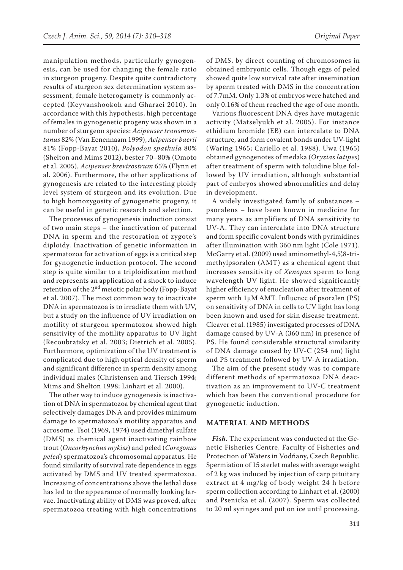manipulation methods, particularly gynogenesis, can be used for changing the female ratio in sturgeon progeny. Despite quite contradictory results of sturgeon sex determination system assessment, female heterogamety is commonly accepted (Keyvanshookoh and Gharaei 2010). In accordance with this hypothesis, high percentage of females in gynogenetic progeny was shown in a number of sturgeon species: *Acipenser transmontanus* 82% (Van Eenennaam 1999), *Acipenser baerii* 81% (Fopp-Bayat 2010), *Polyodon spathula* 80% (Shelton and Mims 2012), bester 70–80% (Omoto et al. 2005), *Acipenser brevirostrum* 65% (Flynn et al. 2006). Furthermore, the other applications of gynogenesis are related to the interesting ploidy level system of sturgeon and its evolution. Due to high homozygosity of gynogenetic progeny, it can be useful in genetic research and selection.

The processes of gynogenesis induction consist of two main steps – the inactivation of paternal DNA in sperm and the restoration of zygote's diploidy. Inactivation of genetic information in spermatozoa for activation of eggs is a critical step for gynogenetic induction protocol. The second step is quite similar to a triploidization method and represents an application of a shock to induce retention of the 2nd meiotic polar body (Fopp-Bayat et al. 2007). The most common way to inactivate DNA in spermatozoa is to irradiate them with UV, but a study on the influence of UV irradiation on motility of sturgeon spermatozoa showed high sensitivity of the motility apparatus to UV light (Recoubratsky et al. 2003; Dietrich et al. 2005). Furthermore, optimization of the UV treatment is complicated due to high optical density of sperm and significant difference in sperm density among individual males (Christensen and Tiersch 1994; Mims and Shelton 1998; Linhart et al. 2000).

The other way to induce gynogenesis is inactivation of DNA in spermatozoa by chemical agent that selectively damages DNA and provides minimum damage to spermatozoa's motility apparatus and acrosome. Tsoi (1969, 1974) used dimethyl sulfate (DMS) as chemical agent inactivating rainbow trout (*Oncorhynchus mykiss*) and peled (*Coregonus peled*) spermatozoa's chromosomal apparatus*.* He found similarity of survival rate dependence in eggs activated by DMS and UV treated spermatozoa. Increasing of concentrations above the lethal dose has led to the appearance of normally looking larvae. Inactivating ability of DMS was proved, after spermatozoa treating with high concentrations of DMS, by direct counting of chromosomes in obtained embryonic cells. Though eggs of peled showed quite low survival rate after insemination by sperm treated with DMS in the concentration of 7.7mM. Only 1.3% of embryos were hatched and only 0.16% of them reached the age of one month.

Various fluorescent DNA dyes have mutagenic activity (Matselyukh et al. 2005). For instance ethidium bromide (EB) can intercalate to DNA structure, and form covalent bonds under UV-light (Waring 1965; Cariello et al. 1988). Uwa (1965) obtained gynogenotes of medaka (*Oryzias latipes*) after treatment of sperm with toluidine blue followed by UV irradiation, although substantial part of embryos showed abnormalities and delay in development.

A widely investigated family of substances – psoralens – have been known in medicine for many years as amplifiers of DNA sensitivity to UV-A. They can intercalate into DNA structure and form specific covalent bonds with pyrimidines after illumination with 360 nm light (Cole 1971). McGarry et al. (2009) used aminomethyl-4,5',8-trimethylpsoralen (AMT) as a chemical agent that increases sensitivity of *Xenopus* sperm to long wavelength UV light. He showed significantly higher efficiency of enucleation after treatment of sperm with 1μM AMT. Influence of psoralen (PS) on sensitivity of DNA in cells to UV light has long been known and used for skin disease treatment. Cleaver et al. (1985) investigated processes of DNA damage caused by UV-A (360 nm) in presence of PS. He found considerable structural similarity of DNA damage caused by UV-C (254 nm) light and PS treatment followed by UV-A irradiation.

The aim of the present study was to compare different methods of spermatozoa DNA deactivation as an improvement to UV-C treatment which has been the conventional procedure for gynogenetic induction.

#### **MATERIAL AND METHODS**

*Fish.* The experiment was conducted at the Genetic Fisheries Centre, Faculty of Fisheries and Protection of Waters in Vodňany, Czech Republic. Spermiation of 15 sterlet males with average weight of 2 kg was induced by injection of carp pituitary extract at 4 mg/kg of body weight 24 h before sperm collection according to Linhart et al. (2000) and Psenicka et al. (2007). Sperm was collected to 20 ml syringes and put on ice until processing.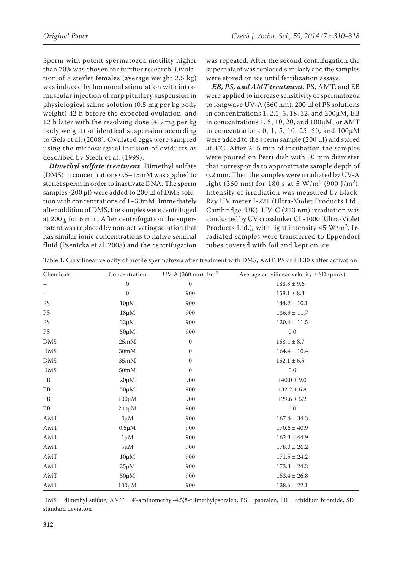Sperm with potent spermatozoa motility higher than 70% was chosen for further research. Ovulation of 8 sterlet females (average weight 2.5 kg) was induced by hormonal stimulation with intramuscular injection of carp pituitary suspension in physiological saline solution (0.5 mg per kg body weight) 42 h before the expected ovulation, and 12 h later with the resolving dose (4.5 mg per kg body weight) of identical suspension according to Gela et al. (2008). Ovulated eggs were sampled using the microsurgical incision of oviducts as described by Stech et al. (1999).

*Dimethyl sulfate treatment.* Dimethyl sulfate (DMS) in concentrations 0.5–15mM was applied to sterlet sperm in order to inactivate DNA. The sperm samples (200 µl) were added to 200 µl of DMS solution with concentrations of 1–30mM. Immediately after addition of DMS, the samples were centrifuged at 200 *g* for 6 min. After centrifugation the supernatant was replaced by non-activating solution that has similar ionic concentrations to native seminal fluid (Psenicka et al. 2008) and the centrifugation was repeated. After the second centrifugation the supernatant was replaced similarly and the samples were stored on ice until fertilization assays.

*EB, PS, and AMT treatment.* PS, AMT, and EB were applied to increase sensitivity of spermatozoa to longwave UV-A (360 nm). 200 µl of PS solutions in concentrations 1, 2.5, 5, 18, 32, and 200µM, EB in concentrations 1, 5, 10, 20, and 100µM, or AMT in concentrations 0, 1, 5, 10, 25, 50, and 100µM were added to the sperm sample  $(200 \mu l)$  and stored at 4°C. After 2–5 min of incubation the samples were poured on Petri dish with 50 mm diameter that corresponds to approximate sample depth of 0.2 mm. Then the samples were irradiated by UV-A light (360 nm) for 180 s at 5  $W/m^2$  (900 J/m<sup>2</sup>). Intensity of irradiation was measured by Black-Ray UV meter J-221 (Ultra-Violet Products Ltd., Cambridge, UK). UV-C (253 nm) irradiation was conducted by UV crosslinker CL-1000 (Ultra-Violet Products Ltd.), with light intensity  $45 \text{ W/m}^2$ . Irradiated samples were transferred to Eppendorf tubes covered with foil and kept on ice.

| Chemicals                   | Concentration            | UV-A (360 nm), $J/m2$ | Average curvilinear velocity $\pm$ SD ( $\mu$ m/s) |
|-----------------------------|--------------------------|-----------------------|----------------------------------------------------|
|                             | $\mathbf{0}$             | $\mathbf{0}$          | $188.8 \pm 9.6$                                    |
| —                           | $\boldsymbol{0}$         | 900                   | $158.1 \pm 8.3$                                    |
| <b>PS</b>                   | $10 \mu M$               | 900                   | $144.2 \pm 10.1$                                   |
| <b>PS</b>                   | $18 \mu M$               | 900                   | $136.9 \pm 11.7$                                   |
| <b>PS</b>                   | $32 \mu M$               | 900                   | $120.4 \pm 11.5$                                   |
| <b>PS</b>                   | $50 \mu M$               | 900                   | 0.0                                                |
| DMS                         | $25\mathrm{m}\mathrm{M}$ | $\mathbf{0}$          | $168.4 \pm 8.7$                                    |
| <b>DMS</b>                  | 30 <sub>m</sub> M        | $\mathbf{0}$          | $164.4 \pm 10.4$                                   |
| DMS                         | $35\mathrm{m}\mathrm{M}$ | $\mathbf{0}$          | $162.1 \pm 6.5$                                    |
| ${\rm DMS}$                 | $50\mathrm{m}\mathrm{M}$ | $\mathbf{0}$          | $0.0\,$                                            |
| EB                          | $20 \mu M$               | 900                   | $140.0 \pm 9.0$                                    |
| EB                          | $50 \mu M$               | 900                   | $132.2 \pm 6.8$                                    |
| EB                          | $100 \mu M$              | 900                   | $129.6 \pm 5.2$                                    |
| EB                          | $200 \mu M$              | 900                   | 0.0                                                |
| AMT                         | $0 \mu M$                | 900                   | $167.4 \pm 34.3$                                   |
| $\mathop{\rm AMT}\nolimits$ | $0.5 \mu M$              | 900                   | $170.6 \pm 40.9$                                   |
| AMT                         | $1 \mu M$                | 900                   | $162.3 \pm 44.9$                                   |
| AMT                         | $5 \mu M$                | 900                   | $178.0 \pm 26.2$                                   |
| AMT                         | $10 \mu M$               | 900                   | $171.5 \pm 24.2$                                   |
| $\mathop{\rm AMT}\nolimits$ | $25 \mu M$               | 900                   | $173.3 \pm 24.2$                                   |
| AMT                         | $50 \mu M$               | 900                   | $153.4 \pm 26.8$                                   |
| AMT                         | $100 \mu M$              | 900                   | $128.6 \pm 22.1$                                   |

Table 1. Curvilinear velocity of motile spermatozoa after treatment with DMS, AMT, PS or EB 30 s after activation

 $DMS =$  dimethyl sulfate, AMT = 4'-aminomethyl-4,5',8-trimethylpsoralen, PS = psoralen, EB = ethidium bromide, SD = standard deviation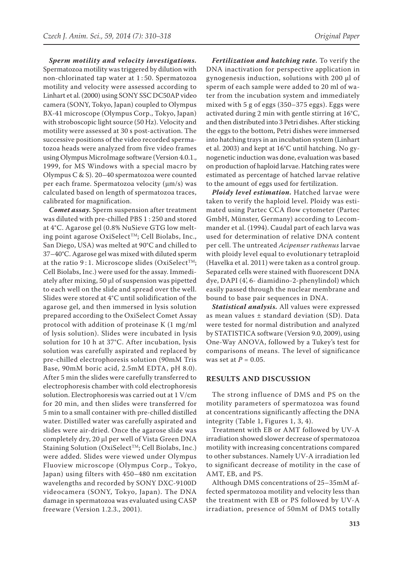*Sperm motility and velocity investigations.*  Spermatozoa motility was triggered by dilution with non-chlorinated tap water at 1 : 50. Spermatozoa motility and velocity were assessed according to Linhart et al. (2000) using SONY SSC DC50AP video camera (SONY, Tokyo, Japan) coupled to Olympus BX-41 microscope (Olympus Corp., Tokyo, Japan) with stroboscopic light source (50 Hz). Velocity and motility were assessed at 30 s post-activation. The successive positions of the video recorded spermatozoa heads were analyzed from five video frames using Olympus MicroImage software (Version 4.0.1., 1999, for MS Windows with a special macro by Olympus C & S). 20–40 spermatozoa were counted per each frame. Spermatozoa velocity (μm/s) was calculated based on length of spermatozoa traces, calibrated for magnification.

*Comet assay.* Sperm suspension after treatment was diluted with pre-chilled PBS 1 : 250 and stored at 4°C. Agarose gel (0.8% NuSieve GTG low melting point agarose OxiSelect™; Cell Biolabs, Inc., San Diego, USA) was melted at 90°C and chilled to 37–40°C. Agarose gel was mixed with diluted sperm at the ratio 9:1. Microscope slides (OxiSelect<sup>TM</sup>; Cell Biolabs, Inc.) were used for the assay. Immediately after mixing, 50 μl of suspension was pipetted to each well on the slide and spread over the well. Slides were stored at 4°C until solidification of the agarose gel, and then immersed in lysis solution prepared according to the OxiSelect Comet Assay protocol with addition of proteinase K (1 mg/ml of lysis solution). Slides were incubated in lysis solution for 10 h at 37°C. After incubation, lysis solution was carefully aspirated and replaced by pre-chilled electrophoresis solution (90mM Tris Base, 90mM boric acid, 2.5mM EDTA, pH 8.0). After 5 min the slides were carefully transferred to electrophoresis chamber with cold electrophoresis solution. Electrophoresis was carried out at 1 V/cm for 20 min, and then slides were transferred for 5 min to a small container with pre-chilled distilled water. Distilled water was carefully aspirated and slides were air-dried. Once the agarose slide was completely dry, 20 μl per well of Vista Green DNA Staining Solution (OxiSelect™; Cell Biolabs, Inc.) were added. Slides were viewed under Olympus Fluoview microscope (Olympus Corp., Tokyo, Japan) using filters with 450–480 nm excitation wavelengths and recorded by SONY DXC-9100D videocamera (SONY, Tokyo, Japan). The DNA damage in spermatozoa was evaluated using CASP freeware (Version 1.2.3., 2001).

*Fertilization and hatching rate.* To verify the DNA inactivation for perspective application in gynogenesis induction, solutions with 200 µl of sperm of each sample were added to 20 ml of water from the incubation system and immediately mixed with 5 g of eggs (350–375 eggs). Eggs were activated during 2 min with gentle stirring at 16°C, and then distributed into 3 Petri dishes. After sticking the eggs to the bottom, Petri dishes were immersed into hatching trays in an incubation system (Linhart et al. 2003) and kept at 16°C until hatching. No gynogenetic induction was done, evaluation was based on production of haploid larvae. Hatching rates were estimated as percentage of hatched larvae relative to the amount of eggs used for fertilization.

*Ploidy level estimation.* Hatched larvae were taken to verify the haploid level. Ploidy was estimated using Partec CCA flow cytometer (Partec GmbH, Münster, Germany) according to Lecommander et al. (1994). Caudal part of each larva was used for determination of relative DNA content per cell. The untreated *Acipenser ruthenus* larvae with ploidy level equal to evolutionary tetraploid (Havelka et al. 2011) were taken as a control group. Separated cells were stained with fluorescent DNA dye, DAPI (4', 6- diamidino-2-phenylindol) which easily passed through the nuclear membrane and bound to base pair sequences in DNA.

*Statistical analysis.* All values were expressed as mean values ± standard deviation (SD). Data were tested for normal distribution and analyzed by STATISTICA software (Version 9.0, 2009), using One-Way ANOVA, followed by a Tukey's test for comparisons of means. The level of significance was set at *P* = 0.05.

#### **RESULTS AND DISCUSSION**

The strong influence of DMS and PS on the motility parameters of spermatozoa was found at concentrations significantly affecting the DNA integrity (Table 1, Figures 1, 3, 4).

Treatment with EB or AMT followed by UV-A irradiation showed slower decrease of spermatozoa motility with increasing concentrations compared to other substances. Namely UV-A irradiation led to significant decrease of motility in the case of AMT, EB, and PS.

Although DMS concentrations of 25–35mM affected spermatozoa motility and velocity less than the treatment with EB or PS followed by UV-A irradiation, presence of 50mM of DMS totally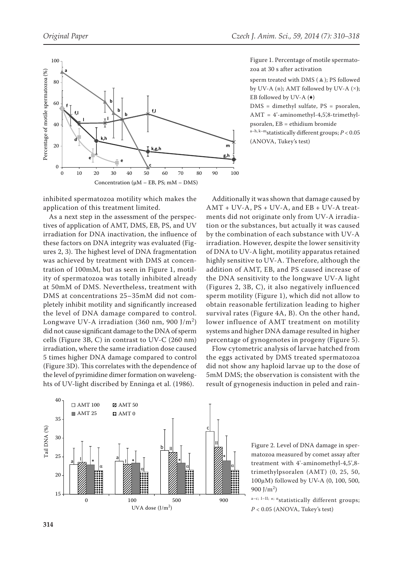

Figure 1. Percentage of motile spermatozoa at 30 s after activation

sperm treated with DMS (▲); PS followed by UV-A  $(\equiv)$ ; AMT followed by UV-A  $(\times)$ ; EB followed by UV-A  $(*)$ 

DMS = dimethyl sulfate, PS = psoralen,  $AMT = 4'$ -aminomethyl-4,5',8-trimethylpsoralen, EB = ethidium bromide

a–h, k–mstatistically different groups; *P* < 0.05 (ANOVA, Tukey's test)

inhibited spermatozoa motility which makes the application of this treatment limited.

As a next step in the assessment of the perspectives of application of AMT, DMS, EB, PS, and UV irradiation for DNA inactivation, the influence of these factors on DNA integrity was evaluated (Figures 2, 3). The highest level of DNA fragmentation was achieved by treatment with DMS at concentration of 100mM, but as seen in Figure 1, motility of spermatozoa was totally inhibited already at 50mM of DMS. Nevertheless, treatment with DMS at concentrations 25–35mM did not completely inhibit motility and significantly increased the level of DNA damage compared to control. Longwave UV-A irradiation (360 nm, 900 J/m<sup>2</sup>) did not cause significant damage to the DNA of sperm cells (Figure 3B, C) in contrast to UV-C (260 nm) irradiation, where the same irradiation dose caused 5 times higher DNA damage compared to control (Figure 3D). This correlates with the dependence of the level of pyrimidine dimer formation on wavelenghts of UV-light discribed by Enninga et al. (1986).



Additionally it was shown that damage caused by AMT + UV-A, PS + UV-A, and EB + UV-A treatments did not originate only from UV-A irradiation or the substances, but actually it was caused by the combination of each substance with UV-A irradiation. However, despite the lower sensitivity of DNA to UV-A light, motility apparatus retained highly sensitive to UV-A. Therefore, although the addition of AMT, EB, and PS caused increase of the DNA sensitivity to the longwave UV-A light (Figures 2, 3B, C), it also negatively influenced sperm motility (Figure 1), which did not allow to obtain reasonable fertilization leading to higher survival rates (Figure 4A, B). On the other hand, lower influence of AMT treatment on motility systems and higher DNA damage resulted in higher percentage of gynogenotes in progeny (Figure 5).

Flow cytometric analysis of larvae hatched from the eggs activated by DMS treated spermatozoa did not show any haploid larvae up to the dose of 5mM DMS; the observation is consistent with the result of gynogenesis induction in peled and rain-

> Figure 2. Level of DNA damage in spermatozoa measured by comet assay after treatment with 4'-aminomethyl-4,5',8 trimethylpsoralen (AMT) (0, 25, 50, 100µM) followed by UV-A (0, 100, 500, 900 J/m<sup>2</sup>)

> a-c; I-II;  $\ast$ ;  $\alpha$  statistically different groups;  $P < 0.05$  (ANOVA, Tukey's test)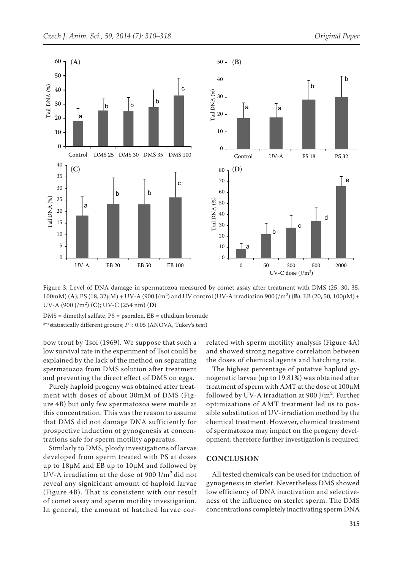

Figure 3. Level of DNA damage in spermatozoa measured by comet assay after treatment with DMS (25, 30, 35, 100mM) (A); PS (18, 32μM) + UV-A (900 J/m<sup>2</sup>) and UV control (UV-A irradiation 900 J/m<sup>2</sup>) (**B**); EB (20, 50, 100μM) + UV-A (900 J/m<sup>2</sup> ) (**C**); UV-C (254 nm) (**D**)

DMS = dimethyl sulfate, PS = psoralen, EB = ethidium bromide a<sup>-e</sup>statistically different groups;  $P < 0.05$  (ANOVA, Tukey's test)

bow trout by Tsoi (1969). We suppose that such a low survival rate in the experiment of Tsoi could be explained by the lack of the method on separating spermatozoa from DMS solution after treatment and preventing the direct effect of DMS on eggs.

Purely haploid progeny was obtained after treatment with doses of about 30mM of DMS (Figure 4B) but only few spermatozoa were motile at this concentration. This was the reason to assume that DMS did not damage DNA sufficiently for prospective induction of gynogenesis at concentrations safe for sperm motility apparatus.

Similarly to DMS, ploidy investigations of larvae developed from sperm treated with PS at doses up to 18µM and EB up to 10µM and followed by UV-A irradiation at the dose of 900 J/m2 did not reveal any significant amount of haploid larvae (Figure 4B). That is consistent with our result of comet assay and sperm motility investigation. In general, the amount of hatched larvae correlated with sperm motility analysis (Figure 4A) and showed strong negative correlation between the doses of chemical agents and hatching rate.

The highest percentage of putative haploid gynogenetic larvae (up to 19.81%) was obtained after treatment of sperm with AMT at the dose of 100µM followed by UV-A irradiation at 900 J/m<sup>2</sup>. Further optimizations of AMT treatment led us to possible substitution of UV-irradiation method by the chemical treatment. However, chemical treatment of spermatozoa may impact on the progeny development, therefore further investigation is required.

### **CONCLUSION**

All tested chemicals can be used for induction of gynogenesis in sterlet. Nevertheless DMS showed low efficiency of DNA inactivation and selectiveness of the influence on sterlet sperm. The DMS concentrations completely inactivating sperm DNA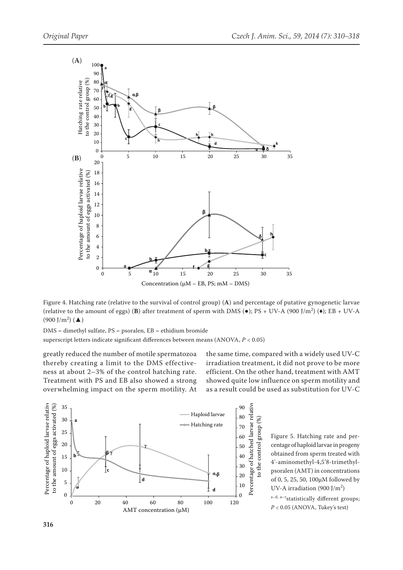

Figure 4. Hatching rate (relative to the survival of control group) (**A**) and percentage of putative gynogenetic larvae (relative to the amount of eggs) (**B**) after treatment of sperm with DMS ( $\bullet$ ); PS + UV-A (900 J/m<sup>2</sup>) ( $\bullet$ ); EB + UV-A  $(900 \text{ J/m}^2)$  ( $\triangle$ )

DMS = dimethyl sulfate, PS = psoralen, EB = ethidium bromide superscript letters indicate significant differences between means (ANOVA, *P* < 0.05)

greatly reduced the number of motile spermatozoa thereby creating a limit to the DMS effectiveness at about 2–3% of the control hatching rate. Treatment with PS and EB also showed a strong overwhelming impact on the sperm motility. At

the same time, compared with a widely used UV-C irradiation treatment, it did not prove to be more efficient. On the other hand, treatment with AMT showed quite low influence on sperm motility and as a result could be used as substitution for UV-C





a-d, α-γ<sub>statistically</sub> different groups; *P* < 0.05 (ANOVA, Tukey's test)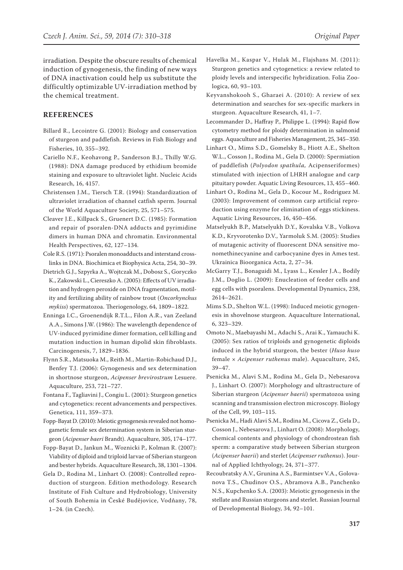irradiation. Despite the obscure results of chemical induction of gynogenesis, the finding of new ways of DNA inactivation could help us substitute the difficultly optimizable UV-irradiation method by the chemical treatment.

## **REFERENCES**

- Billard R., Lecointre G. (2001): Biology and conservation of sturgeon and paddlefish. Reviews in Fish Biology and Fisheries, 10, 355–392.
- Cariello N.F., Keohavong P., Sanderson B.J., Thilly W.G. (1988): DNA damage produced by ethidium bromide staining and exposure to ultraviolet light. Nucleic Acids Research, 16, 4157.
- Christensen J.M., Tiersch T.R. (1994): Standardization of ultraviolet irradiation of channel catfish sperm. Journal of the World Aquaculture Society, 25, 571–575.
- Cleaver J.E., Killpack S., Gruenert D.C. (1985): Formation and repair of psoralen-DNA adducts and pyrimidine dimers in human DNA and chromatin. Environmental Health Perspectives, 62, 127–134.

Cole R.S. (1971): Psoralen monoadducts and interstand crosslinks in DNA. Biochimica et Biophysica Acta, 254, 30–39.

Dietrich G.J., Szpyrka A., Wojtczak M., Dobosz S., Goryczko K., Zakowski L., Ciereszko A. (2005): Effects of UV irradiation and hydrogen peroxide on DNA fragmentation, motility and fertilizing ability of rainbow trout (*Oncorhynchus mykiss*) spermatozoa. Theriogenology, 64, 1809–1822.

Enninga I.C., Groenendijk R.T.L., Filon A.R., van Zeeland A.A., Simons J.W. (1986): The wavelength dependence of UV-induced pyrimidine dimer formation, cell killing and mutation induction in human dipolid skin fibroblasts. Carcinogenesis, 7, 1829–1836.

- Flynn S.R., Matsuoka M., Reith M., Martin-Robichaud D.J., Benfey T.J. (2006): Gynogenesis and sex determination in shortnose sturgeon, *Acipenser brevirostrum* Lesuere. Aquaculture, 253, 721–727.
- Fontana F., Tagliavini J., Congiu L. (2001): Sturgeon genetics and cytogenetics: recent advancements and perspectives. Genetica, 111, 359–373.

Fopp-Bayat D. (2010): Meiotic gynogenesis revealed not homogametic female sex determination system in Siberian sturgeon (*Acipenser baeri* Brandt). Aquaculture, 305, 174–177.

- Fopp-Bayat D., Jankun M., Woznicki P., Kolman R. (2007): Viability of diploid and triploid larvae of Siberian sturgeon and bester hybrids. Aquaculture Research, 38, 1301–1304.
- Gela D., Rodina M., Linhart O. (2008): Controlled reproduction of sturgeon. Edition methodology. Research Institute of Fish Culture and Hydrobiology, University of South Bohemia in České Budějovice, Vodňany, 78, 1–24. (in Czech).
- Havelka M., Kaspar V., Hulak M., Flajshans M. (2011): Sturgeon genetics and cytogenetics: a review related to ploidy levels and interspecific hybridization. Folia Zoologica, 60, 93–103.
- Keyvanshokooh S., Gharaei A. (2010): A review of sex determination and searches for sex-specific markers in sturgeon. Aquaculture Research, 41, 1–7.
- Lecommander D., Haffray P., Philippe L. (1994): Rapid flow cytometry method for ploidy determination in salmonid eggs. Aquaculture and Fisheries Management, 25, 345–350.
- Linhart O., Mims S.D., Gomelsky B., Hiott A.E., Shelton W.L., Cosson J., Rodina M., Gela D. (2000): Spermiation of paddlefish (*Polyodon spathula,* Acipenseriformes) stimulated with injection of LHRH analogue and carp pituitary powder. Aquatic Living Resources, 13, 455−460.
- Linhart O., Rodina M., Gela D., Kocour M., Rodriguez M. (2003): Improvement of common carp artificial reproduction using enzyme for elimination of eggs stickiness. Aquatic Living Resources, 16, 450–456.
- Matselyukh B.P., Matselyukh D.Y., Kovalska V.B., Volkova K.D., Kryvorotenko D.V., Yarmoluk S.M. (2005): Studies of mutagenic activity of fluorescent DNA sensitive monomethinecyanine and carbocyanine dyes in Ames test. Ukrainica Bioorganica Acta, 2, 27–34.
- McGarry T.J., Bonaguidi M., Lyass L., Kessler J.A., Bodily J.M., Doglio L. (2009): Enucleation of feeder cells and egg cells with psoralens. Developmental Dynamics, 238, 2614–2621.
- Mims S.D., Shelton W.L. (1998): Induced meiotic gynogenesis in shovelnose sturgeon. Aquaculture International, 6, 323–329.
- Omoto N., Maebayashi M., Adachi S., Arai K., Yamauchi K. (2005): Sex ratios of triploids and gynogenetic diploids induced in the hybrid sturgeon, the bester (*Huso huso*  female × *Acipenser ruthenus* male). Aquaculture, 245, 39–47.
- Psenicka M., Alavi S.M., Rodina M., Gela D., Nebesarova J., Linhart O. (2007): Morphology and ultrastructure of Siberian sturgeon (*Acipenser baerii*) spermatozoa using scanning and transmission electron microscopy. Biology of the Cell, 99, 103–115.
- Psenicka M., Hadi Alavi S.M., Rodina M., Cicova Z., Gela D., Cosson J., Nebesarova J., Linhart O. (2008): Morphology, chemical contents and physiology of chondrostean fish sperm: a comparative study between Siberian sturgeon (*Acipenser baerii*) and sterlet (*Acipenser ruthenus*). Journal of Applied Ichthyology, 24, 371–377.
- Recoubratsky A.V., Grunina A.S., Barmintsev V.A., Golovanova T.S., Chudinov O.S., Abramova A.B., Panchenko N.S., Kupchenko S.A. (2003): Meiotic gynogenesis in the stellate and Russian sturgeons and sterlet. Russian Journal of Developmental Biology, 34, 92–101.